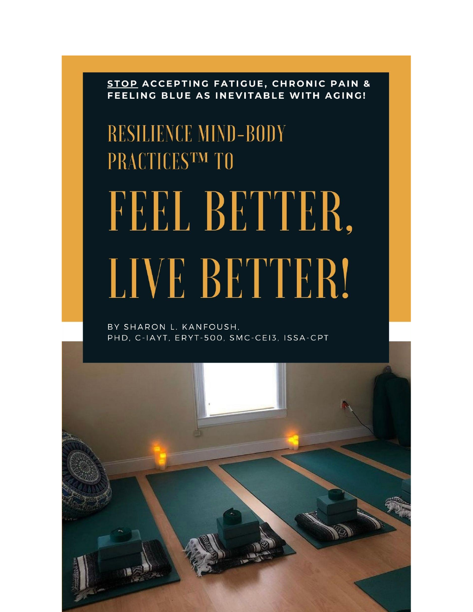STOP ACCEPTING FATIGUE, CHRONIC PAIN & FEELING BLUE AS INEVITABLE WITH AGING!

# **RESILIENCE MIND-BODY** PRACTICESTM TO FEEL BETTER, LIVE BETTER!

BY SHARON L. KANFOUSH, PHD, C-IAYT, ERYT-500, SMC-CEI3, ISSA-CPT

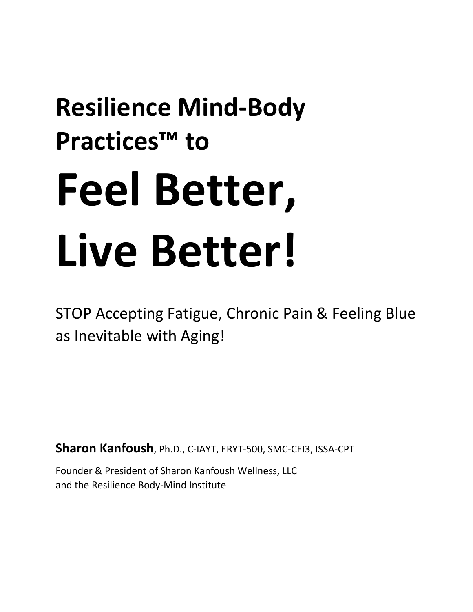# **Resilience Mind-Body Practices™ to Feel Better, Live Better!**

STOP Accepting Fatigue, Chronic Pain & Feeling Blue as Inevitable with Aging!

**Sharon Kanfoush**, Ph.D., C-IAYT, ERYT-500, SMC-CEI3, ISSA-CPT

Founder & President of Sharon Kanfoush Wellness, LLC and the Resilience Body-Mind Institute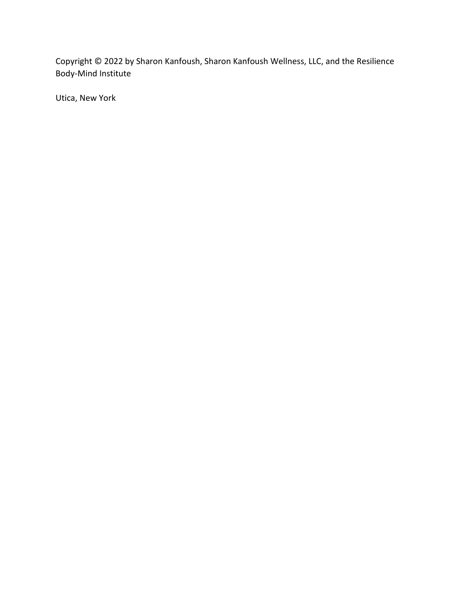Copyright © 2022 by Sharon Kanfoush, Sharon Kanfoush Wellness, LLC, and the Resilience Body-Mind Institute

Utica, New York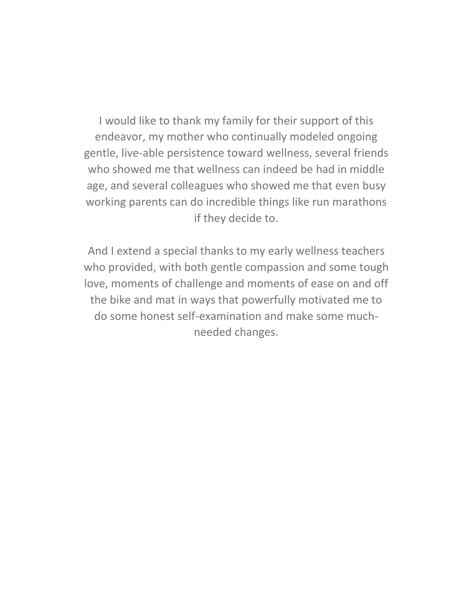I would like to thank my family for their support of this endeavor, my mother who continually modeled ongoing gentle, live-able persistence toward wellness, several friends who showed me that wellness can indeed be had in middle age, and several colleagues who showed me that even busy working parents can do incredible things like run marathons if they decide to.

And I extend a special thanks to my early wellness teachers who provided, with both gentle compassion and some tough love, moments of challenge and moments of ease on and off the bike and mat in ways that powerfully motivated me to do some honest self-examination and make some muchneeded changes.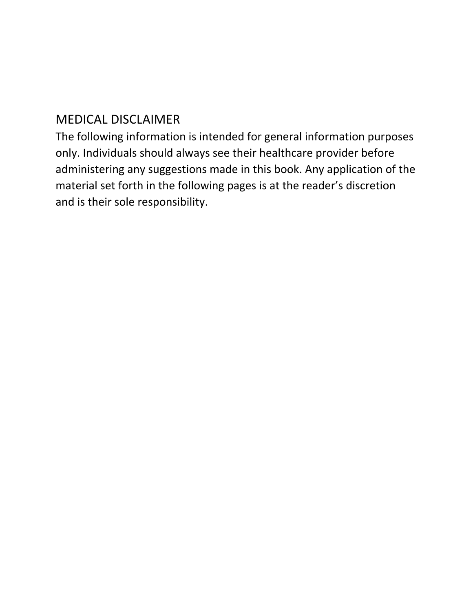# MEDICAL DISCLAIMER

The following information is intended for general information purposes only. Individuals should always see their healthcare provider before administering any suggestions made in this book. Any application of the material set forth in the following pages is at the reader's discretion and is their sole responsibility.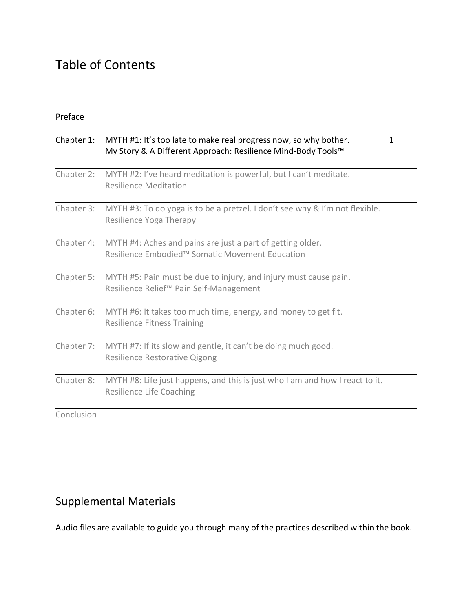# Table of Contents

| Chapter 1:<br>MYTH #1: It's too late to make real progress now, so why bother.<br>My Story & A Different Approach: Resilience Mind-Body Tools™<br>Chapter 2:<br>MYTH #2: I've heard meditation is powerful, but I can't meditate.<br><b>Resilience Meditation</b><br>Chapter 3:<br>MYTH #3: To do yoga is to be a pretzel. I don't see why & I'm not flexible.<br>Resilience Yoga Therapy<br>Chapter 4:<br>MYTH #4: Aches and pains are just a part of getting older.<br>Resilience Embodied™ Somatic Movement Education<br>Chapter 5:<br>MYTH #5: Pain must be due to injury, and injury must cause pain.<br>Resilience Relief™ Pain Self-Management<br>Chapter 6:<br>MYTH #6: It takes too much time, energy, and money to get fit.<br><b>Resilience Fitness Training</b><br>Chapter 7:<br>MYTH #7: If its slow and gentle, it can't be doing much good.<br>Resilience Restorative Qigong |   |
|---------------------------------------------------------------------------------------------------------------------------------------------------------------------------------------------------------------------------------------------------------------------------------------------------------------------------------------------------------------------------------------------------------------------------------------------------------------------------------------------------------------------------------------------------------------------------------------------------------------------------------------------------------------------------------------------------------------------------------------------------------------------------------------------------------------------------------------------------------------------------------------------|---|
|                                                                                                                                                                                                                                                                                                                                                                                                                                                                                                                                                                                                                                                                                                                                                                                                                                                                                             | 1 |
|                                                                                                                                                                                                                                                                                                                                                                                                                                                                                                                                                                                                                                                                                                                                                                                                                                                                                             |   |
|                                                                                                                                                                                                                                                                                                                                                                                                                                                                                                                                                                                                                                                                                                                                                                                                                                                                                             |   |
|                                                                                                                                                                                                                                                                                                                                                                                                                                                                                                                                                                                                                                                                                                                                                                                                                                                                                             |   |
|                                                                                                                                                                                                                                                                                                                                                                                                                                                                                                                                                                                                                                                                                                                                                                                                                                                                                             |   |
|                                                                                                                                                                                                                                                                                                                                                                                                                                                                                                                                                                                                                                                                                                                                                                                                                                                                                             |   |
|                                                                                                                                                                                                                                                                                                                                                                                                                                                                                                                                                                                                                                                                                                                                                                                                                                                                                             |   |
| Chapter 8:<br>MYTH #8: Life just happens, and this is just who I am and how I react to it.<br><b>Resilience Life Coaching</b>                                                                                                                                                                                                                                                                                                                                                                                                                                                                                                                                                                                                                                                                                                                                                               |   |

Conclusion

# Supplemental Materials

Audio files are available to guide you through many of the practices described within the book.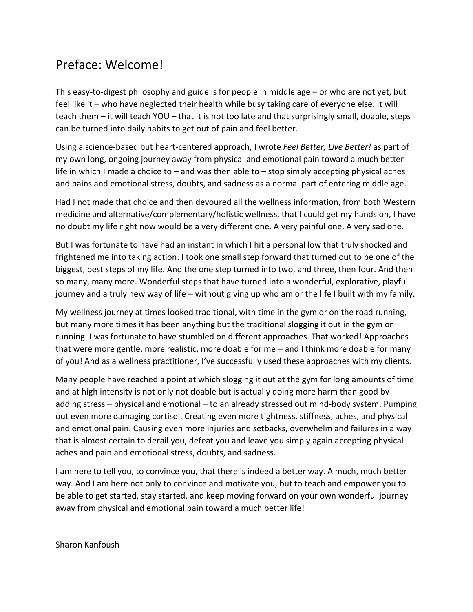## Preface: Welcome!

This easy-to-digest philosophy and guide is for people in middle age – or who are not yet, but feel like it – who have neglected their health while busy taking care of everyone else. It will teach them – it will teach YOU – that it is not too late and that surprisingly small, doable, steps can be turned into daily habits to get out of pain and feel better.

Using a science-based but heart-centered approach, I wrote *Feel Better, Live Better!* as part of my own long, ongoing journey away from physical and emotional pain toward a much better life in which I made a choice to – and was then able to – stop simply accepting physical aches and pains and emotional stress, doubts, and sadness as a normal part of entering middle age.

Had I not made that choice and then devoured all the wellness information, from both Western medicine and alternative/complementary/holistic wellness, that I could get my hands on, I have no doubt my life right now would be a very different one. A very painful one. A very sad one.

But I was fortunate to have had an instant in which I hit a personal low that truly shocked and frightened me into taking action. I took one small step forward that turned out to be one of the biggest, best steps of my life. And the one step turned into two, and three, then four. And then so many, many more. Wonderful steps that have turned into a wonderful, explorative, playful journey and a truly new way of life – without giving up who am or the life I built with my family.

My wellness journey at times looked traditional, with time in the gym or on the road running, but many more times it has been anything but the traditional slogging it out in the gym or running. I was fortunate to have stumbled on different approaches. That worked! Approaches that were more gentle, more realistic, more doable for me – and I think more doable for many of you! And as a wellness practitioner, I've successfully used these approaches with my clients.

Many people have reached a point at which slogging it out at the gym for long amounts of time and at high intensity is not only not doable but is actually doing more harm than good by adding stress – physical and emotional – to an already stressed out mind-body system. Pumping out even more damaging cortisol. Creating even more tightness, stiffness, aches, and physical and emotional pain. Causing even more injuries and setbacks, overwhelm and failures in a way that is almost certain to derail you, defeat you and leave you simply again accepting physical aches and pain and emotional stress, doubts, and sadness.

I am here to tell you, to convince you, that there is indeed a better way. A much, much better way. And I am here not only to convince and motivate you, but to teach and empower you to be able to get started, stay started, and keep moving forward on your own wonderful journey away from physical and emotional pain toward a much better life!

Sharon Kanfoush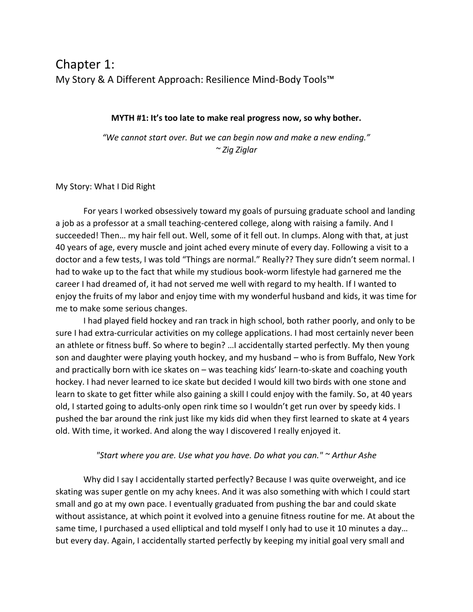## Chapter 1: My Story & A Different Approach: Resilience Mind-Body Tools™

#### **MYTH #1: It's too late to make real progress now, so why bother.**

*"We cannot start over. But we can begin now and make a new ending." ~ Zig Ziglar* 

#### My Story: What I Did Right

For years I worked obsessively toward my goals of pursuing graduate school and landing a job as a professor at a small teaching-centered college, along with raising a family. And I succeeded! Then… my hair fell out. Well, some of it fell out. In clumps. Along with that, at just 40 years of age, every muscle and joint ached every minute of every day. Following a visit to a doctor and a few tests, I was told "Things are normal." Really?? They sure didn't seem normal. I had to wake up to the fact that while my studious book-worm lifestyle had garnered me the career I had dreamed of, it had not served me well with regard to my health. If I wanted to enjoy the fruits of my labor and enjoy time with my wonderful husband and kids, it was time for me to make some serious changes.

I had played field hockey and ran track in high school, both rather poorly, and only to be sure I had extra-curricular activities on my college applications. I had most certainly never been an athlete or fitness buff. So where to begin? …I accidentally started perfectly. My then young son and daughter were playing youth hockey, and my husband – who is from Buffalo, New York and practically born with ice skates on – was teaching kids' learn-to-skate and coaching youth hockey. I had never learned to ice skate but decided I would kill two birds with one stone and learn to skate to get fitter while also gaining a skill I could enjoy with the family. So, at 40 years old, I started going to adults-only open rink time so I wouldn't get run over by speedy kids. I pushed the bar around the rink just like my kids did when they first learned to skate at 4 years old. With time, it worked. And along the way I discovered I really enjoyed it.

#### *"Start where you are. Use what you have. Do what you can." ~ Arthur Ashe*

Why did I say I accidentally started perfectly? Because I was quite overweight, and ice skating was super gentle on my achy knees. And it was also something with which I could start small and go at my own pace. I eventually graduated from pushing the bar and could skate without assistance, at which point it evolved into a genuine fitness routine for me. At about the same time, I purchased a used elliptical and told myself I only had to use it 10 minutes a day… but every day. Again, I accidentally started perfectly by keeping my initial goal very small and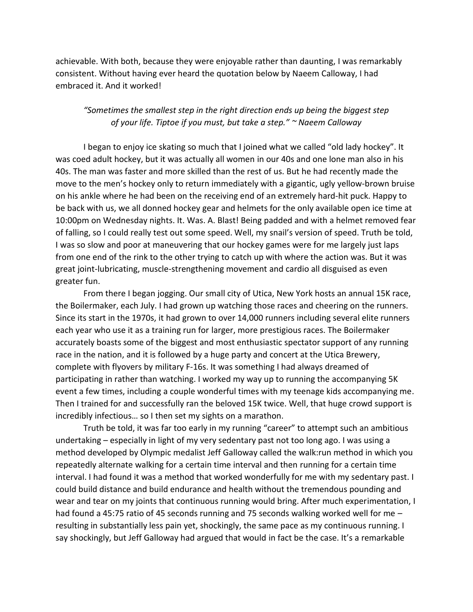achievable. With both, because they were enjoyable rather than daunting, I was remarkably consistent. Without having ever heard the quotation below by Naeem Calloway, I had embraced it. And it worked!

## *"Sometimes the smallest step in the right direction ends up being the biggest step of your life. Tiptoe if you must, but take a step." ~ Naeem Calloway*

I began to enjoy ice skating so much that I joined what we called "old lady hockey". It was coed adult hockey, but it was actually all women in our 40s and one lone man also in his 40s. The man was faster and more skilled than the rest of us. But he had recently made the move to the men's hockey only to return immediately with a gigantic, ugly yellow-brown bruise on his ankle where he had been on the receiving end of an extremely hard-hit puck. Happy to be back with us, we all donned hockey gear and helmets for the only available open ice time at 10:00pm on Wednesday nights. It. Was. A. Blast! Being padded and with a helmet removed fear of falling, so I could really test out some speed. Well, my snail's version of speed. Truth be told, I was so slow and poor at maneuvering that our hockey games were for me largely just laps from one end of the rink to the other trying to catch up with where the action was. But it was great joint-lubricating, muscle-strengthening movement and cardio all disguised as even greater fun.

From there I began jogging. Our small city of Utica, New York hosts an annual 15K race, the Boilermaker, each July. I had grown up watching those races and cheering on the runners. Since its start in the 1970s, it had grown to over 14,000 runners including several elite runners each year who use it as a training run for larger, more prestigious races. The Boilermaker accurately boasts some of the biggest and most enthusiastic spectator support of any running race in the nation, and it is followed by a huge party and concert at the Utica Brewery, complete with flyovers by military F-16s. It was something I had always dreamed of participating in rather than watching. I worked my way up to running the accompanying 5K event a few times, including a couple wonderful times with my teenage kids accompanying me. Then I trained for and successfully ran the beloved 15K twice. Well, that huge crowd support is incredibly infectious… so I then set my sights on a marathon.

Truth be told, it was far too early in my running "career" to attempt such an ambitious undertaking – especially in light of my very sedentary past not too long ago. I was using a method developed by Olympic medalist Jeff Galloway called the walk:run method in which you repeatedly alternate walking for a certain time interval and then running for a certain time interval. I had found it was a method that worked wonderfully for me with my sedentary past. I could build distance and build endurance and health without the tremendous pounding and wear and tear on my joints that continuous running would bring. After much experimentation, I had found a 45:75 ratio of 45 seconds running and 75 seconds walking worked well for me resulting in substantially less pain yet, shockingly, the same pace as my continuous running. I say shockingly, but Jeff Galloway had argued that would in fact be the case. It's a remarkable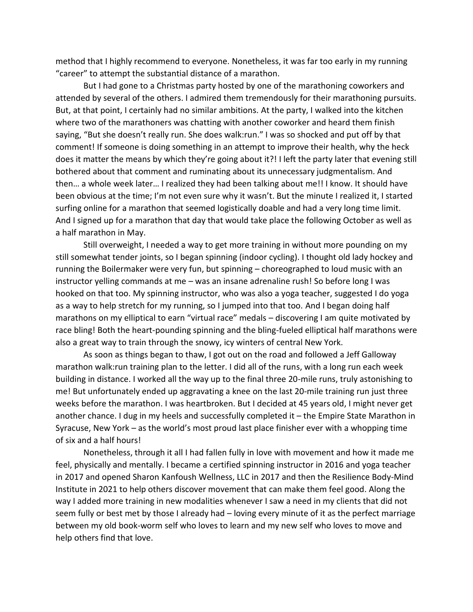method that I highly recommend to everyone. Nonetheless, it was far too early in my running "career" to attempt the substantial distance of a marathon.

But I had gone to a Christmas party hosted by one of the marathoning coworkers and attended by several of the others. I admired them tremendously for their marathoning pursuits. But, at that point, I certainly had no similar ambitions. At the party, I walked into the kitchen where two of the marathoners was chatting with another coworker and heard them finish saying, "But she doesn't really run. She does walk:run." I was so shocked and put off by that comment! If someone is doing something in an attempt to improve their health, why the heck does it matter the means by which they're going about it?! I left the party later that evening still bothered about that comment and ruminating about its unnecessary judgmentalism. And then… a whole week later… I realized they had been talking about me!! I know. It should have been obvious at the time; I'm not even sure why it wasn't. But the minute I realized it, I started surfing online for a marathon that seemed logistically doable and had a very long time limit. And I signed up for a marathon that day that would take place the following October as well as a half marathon in May.

Still overweight, I needed a way to get more training in without more pounding on my still somewhat tender joints, so I began spinning (indoor cycling). I thought old lady hockey and running the Boilermaker were very fun, but spinning – choreographed to loud music with an instructor yelling commands at me – was an insane adrenaline rush! So before long I was hooked on that too. My spinning instructor, who was also a yoga teacher, suggested I do yoga as a way to help stretch for my running, so I jumped into that too. And I began doing half marathons on my elliptical to earn "virtual race" medals – discovering I am quite motivated by race bling! Both the heart-pounding spinning and the bling-fueled elliptical half marathons were also a great way to train through the snowy, icy winters of central New York.

As soon as things began to thaw, I got out on the road and followed a Jeff Galloway marathon walk:run training plan to the letter. I did all of the runs, with a long run each week building in distance. I worked all the way up to the final three 20-mile runs, truly astonishing to me! But unfortunately ended up aggravating a knee on the last 20-mile training run just three weeks before the marathon. I was heartbroken. But I decided at 45 years old, I might never get another chance. I dug in my heels and successfully completed it – the Empire State Marathon in Syracuse, New York – as the world's most proud last place finisher ever with a whopping time of six and a half hours!

Nonetheless, through it all I had fallen fully in love with movement and how it made me feel, physically and mentally. I became a certified spinning instructor in 2016 and yoga teacher in 2017 and opened Sharon Kanfoush Wellness, LLC in 2017 and then the Resilience Body-Mind Institute in 2021 to help others discover movement that can make them feel good. Along the way I added more training in new modalities whenever I saw a need in my clients that did not seem fully or best met by those I already had – loving every minute of it as the perfect marriage between my old book-worm self who loves to learn and my new self who loves to move and help others find that love.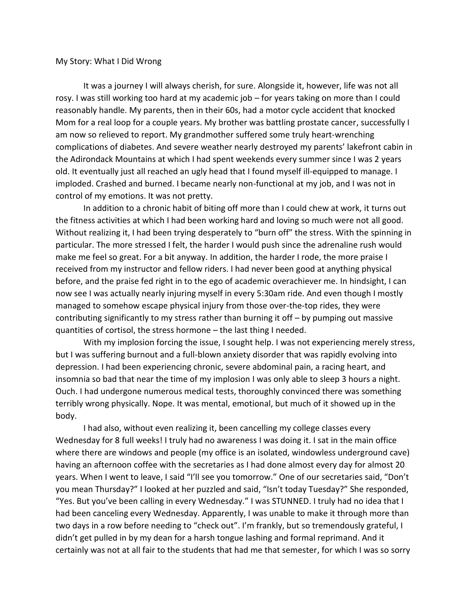#### My Story: What I Did Wrong

It was a journey I will always cherish, for sure. Alongside it, however, life was not all rosy. I was still working too hard at my academic job – for years taking on more than I could reasonably handle. My parents, then in their 60s, had a motor cycle accident that knocked Mom for a real loop for a couple years. My brother was battling prostate cancer, successfully I am now so relieved to report. My grandmother suffered some truly heart-wrenching complications of diabetes. And severe weather nearly destroyed my parents' lakefront cabin in the Adirondack Mountains at which I had spent weekends every summer since I was 2 years old. It eventually just all reached an ugly head that I found myself ill-equipped to manage. I imploded. Crashed and burned. I became nearly non-functional at my job, and I was not in control of my emotions. It was not pretty.

In addition to a chronic habit of biting off more than I could chew at work, it turns out the fitness activities at which I had been working hard and loving so much were not all good. Without realizing it, I had been trying desperately to "burn off" the stress. With the spinning in particular. The more stressed I felt, the harder I would push since the adrenaline rush would make me feel so great. For a bit anyway. In addition, the harder I rode, the more praise I received from my instructor and fellow riders. I had never been good at anything physical before, and the praise fed right in to the ego of academic overachiever me. In hindsight, I can now see I was actually nearly injuring myself in every 5:30am ride. And even though I mostly managed to somehow escape physical injury from those over-the-top rides, they were contributing significantly to my stress rather than burning it off – by pumping out massive quantities of cortisol, the stress hormone – the last thing I needed.

With my implosion forcing the issue, I sought help. I was not experiencing merely stress, but I was suffering burnout and a full-blown anxiety disorder that was rapidly evolving into depression. I had been experiencing chronic, severe abdominal pain, a racing heart, and insomnia so bad that near the time of my implosion I was only able to sleep 3 hours a night. Ouch. I had undergone numerous medical tests, thoroughly convinced there was something terribly wrong physically. Nope. It was mental, emotional, but much of it showed up in the body.

I had also, without even realizing it, been cancelling my college classes every Wednesday for 8 full weeks! I truly had no awareness I was doing it. I sat in the main office where there are windows and people (my office is an isolated, windowless underground cave) having an afternoon coffee with the secretaries as I had done almost every day for almost 20 years. When I went to leave, I said "I'll see you tomorrow." One of our secretaries said, "Don't you mean Thursday?" I looked at her puzzled and said, "Isn't today Tuesday?" She responded, "Yes. But you've been calling in every Wednesday." I was STUNNED. I truly had no idea that I had been canceling every Wednesday. Apparently, I was unable to make it through more than two days in a row before needing to "check out". I'm frankly, but so tremendously grateful, I didn't get pulled in by my dean for a harsh tongue lashing and formal reprimand. And it certainly was not at all fair to the students that had me that semester, for which I was so sorry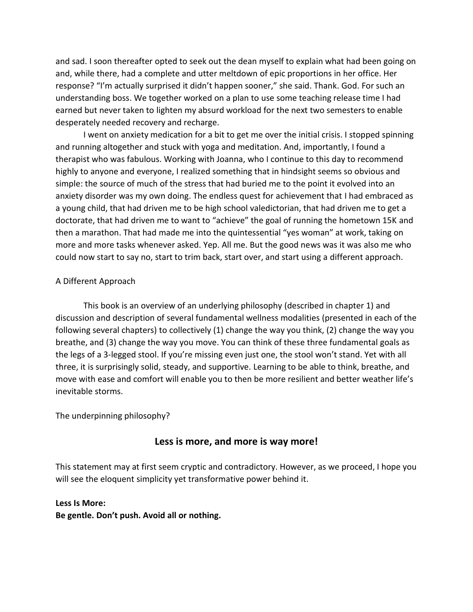and sad. I soon thereafter opted to seek out the dean myself to explain what had been going on and, while there, had a complete and utter meltdown of epic proportions in her office. Her response? "I'm actually surprised it didn't happen sooner," she said. Thank. God. For such an understanding boss. We together worked on a plan to use some teaching release time I had earned but never taken to lighten my absurd workload for the next two semesters to enable desperately needed recovery and recharge.

I went on anxiety medication for a bit to get me over the initial crisis. I stopped spinning and running altogether and stuck with yoga and meditation. And, importantly, I found a therapist who was fabulous. Working with Joanna, who I continue to this day to recommend highly to anyone and everyone, I realized something that in hindsight seems so obvious and simple: the source of much of the stress that had buried me to the point it evolved into an anxiety disorder was my own doing. The endless quest for achievement that I had embraced as a young child, that had driven me to be high school valedictorian, that had driven me to get a doctorate, that had driven me to want to "achieve" the goal of running the hometown 15K and then a marathon. That had made me into the quintessential "yes woman" at work, taking on more and more tasks whenever asked. Yep. All me. But the good news was it was also me who could now start to say no, start to trim back, start over, and start using a different approach.

#### A Different Approach

This book is an overview of an underlying philosophy (described in chapter 1) and discussion and description of several fundamental wellness modalities (presented in each of the following several chapters) to collectively (1) change the way you think, (2) change the way you breathe, and (3) change the way you move. You can think of these three fundamental goals as the legs of a 3-legged stool. If you're missing even just one, the stool won't stand. Yet with all three, it is surprisingly solid, steady, and supportive. Learning to be able to think, breathe, and move with ease and comfort will enable you to then be more resilient and better weather life's inevitable storms.

The underpinning philosophy?

## **Less is more, and more is way more!**

This statement may at first seem cryptic and contradictory. However, as we proceed, I hope you will see the eloquent simplicity yet transformative power behind it.

#### **Less Is More:**

**Be gentle. Don't push. Avoid all or nothing.**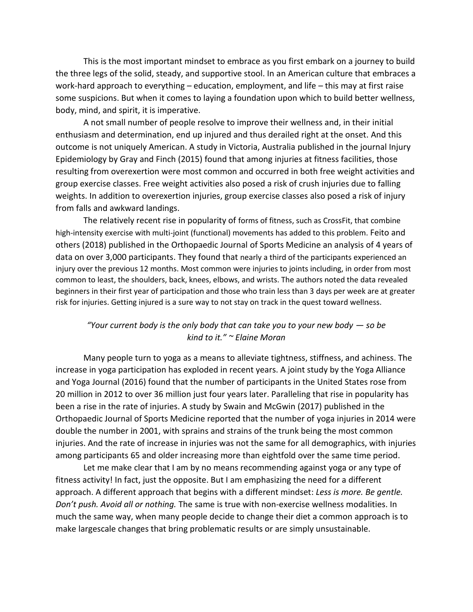This is the most important mindset to embrace as you first embark on a journey to build the three legs of the solid, steady, and supportive stool. In an American culture that embraces a work-hard approach to everything – education, employment, and life – this may at first raise some suspicions. But when it comes to laying a foundation upon which to build better wellness, body, mind, and spirit, it is imperative.

A not small number of people resolve to improve their wellness and, in their initial enthusiasm and determination, end up injured and thus derailed right at the onset. And this outcome is not uniquely American. A study in Victoria, Australia published in the journal Injury Epidemiology by Gray and Finch (2015) found that among injuries at fitness facilities, those resulting from overexertion were most common and occurred in both free weight activities and group exercise classes. Free weight activities also posed a risk of crush injuries due to falling weights. In addition to overexertion injuries, group exercise classes also posed a risk of injury from falls and awkward landings.

The relatively recent rise in popularity of forms of fitness, such as CrossFit, that combine high-intensity exercise with multi-joint (functional) movements has added to this problem. Feito and others (2018) published in the Orthopaedic Journal of Sports Medicine an analysis of 4 years of data on over 3,000 participants. They found that nearly a third of the participants experienced an injury over the previous 12 months. Most common were injuries to joints including, in order from most common to least, the shoulders, back, knees, elbows, and wrists. The authors noted the data revealed beginners in their first year of participation and those who train less than 3 days per week are at greater risk for injuries. Getting injured is a sure way to not stay on track in the quest toward wellness.

## *"Your current body is the only body that can take you to your new body — so be kind to it." ~ Elaine Moran*

Many people turn to yoga as a means to alleviate tightness, stiffness, and achiness. The increase in yoga participation has exploded in recent years. A joint study by the Yoga Alliance and Yoga Journal (2016) found that the number of participants in the United States rose from 20 million in 2012 to over 36 million just four years later. Paralleling that rise in popularity has been a rise in the rate of injuries. A study by Swain and McGwin (2017) published in the Orthopaedic Journal of Sports Medicine reported that the number of yoga injuries in 2014 were double the number in 2001, with sprains and strains of the trunk being the most common injuries. And the rate of increase in injuries was not the same for all demographics, with injuries among participants 65 and older increasing more than eightfold over the same time period.

Let me make clear that I am by no means recommending against yoga or any type of fitness activity! In fact, just the opposite. But I am emphasizing the need for a different approach. A different approach that begins with a different mindset: *Less is more. Be gentle. Don't push. Avoid all or nothing.* The same is true with non-exercise wellness modalities. In much the same way, when many people decide to change their diet a common approach is to make largescale changes that bring problematic results or are simply unsustainable.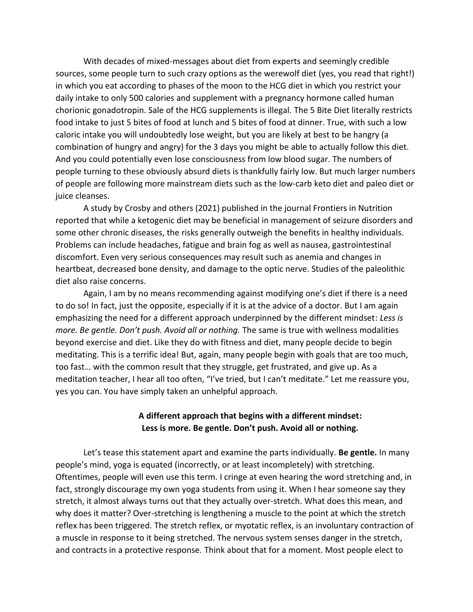With decades of mixed-messages about diet from experts and seemingly credible sources, some people turn to such crazy options as the werewolf diet (yes, you read that right!) in which you eat according to phases of the moon to the HCG diet in which you restrict your daily intake to only 500 calories and supplement with a pregnancy hormone called human chorionic gonadotropin. Sale of the HCG supplements is illegal. The 5 Bite Diet literally restricts food intake to just 5 bites of food at lunch and 5 bites of food at dinner. True, with such a low caloric intake you will undoubtedly lose weight, but you are likely at best to be hangry (a combination of hungry and angry) for the 3 days you might be able to actually follow this diet. And you could potentially even lose consciousness from low blood sugar. The numbers of people turning to these obviously absurd diets is thankfully fairly low. But much larger numbers of people are following more mainstream diets such as the low-carb keto diet and paleo diet or juice cleanses.

A study by Crosby and others (2021) published in the journal Frontiers in Nutrition reported that while a ketogenic diet may be beneficial in management of seizure disorders and some other chronic diseases, the risks generally outweigh the benefits in healthy individuals. Problems can include headaches, fatigue and brain fog as well as nausea, gastrointestinal discomfort. Even very serious consequences may result such as anemia and changes in heartbeat, decreased bone density, and damage to the optic nerve. Studies of the paleolithic diet also raise concerns.

Again, I am by no means recommending against modifying one's diet if there is a need to do so! In fact, just the opposite, especially if it is at the advice of a doctor. But I am again emphasizing the need for a different approach underpinned by the different mindset: *Less is more. Be gentle. Don't push. Avoid all or nothing.* The same is true with wellness modalities beyond exercise and diet. Like they do with fitness and diet, many people decide to begin meditating. This is a terrific idea! But, again, many people begin with goals that are too much, too fast… with the common result that they struggle, get frustrated, and give up. As a meditation teacher, I hear all too often, "I've tried, but I can't meditate." Let me reassure you, yes you can. You have simply taken an unhelpful approach.

## **A different approach that begins with a different mindset: Less is more. Be gentle. Don't push. Avoid all or nothing.**

Let's tease this statement apart and examine the parts individually. **Be gentle.** In many people's mind, yoga is equated (incorrectly, or at least incompletely) with stretching. Oftentimes, people will even use this term. I cringe at even hearing the word stretching and, in fact, strongly discourage my own yoga students from using it. When I hear someone say they stretch, it almost always turns out that they actually over-stretch. What does this mean, and why does it matter? Over-stretching is lengthening a muscle to the point at which the stretch reflex has been triggered. The stretch reflex, or myotatic reflex, is an involuntary contraction of a muscle in response to it being stretched. The nervous system senses danger in the stretch, and contracts in a protective response. Think about that for a moment. Most people elect to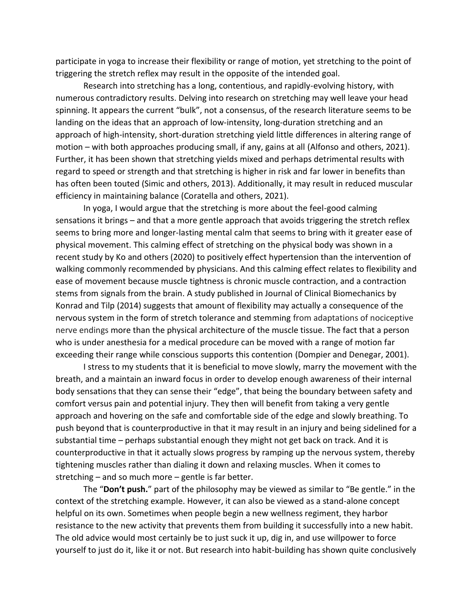participate in yoga to increase their flexibility or range of motion, yet stretching to the point of triggering the stretch reflex may result in the opposite of the intended goal.

Research into stretching has a long, contentious, and rapidly-evolving history, with numerous contradictory results. Delving into research on stretching may well leave your head spinning. It appears the current "bulk", not a consensus, of the research literature seems to be landing on the ideas that an approach of low-intensity, long-duration stretching and an approach of high-intensity, short-duration stretching yield little differences in altering range of motion – with both approaches producing small, if any, gains at all (Alfonso and others, 2021). Further, it has been shown that stretching yields mixed and perhaps detrimental results with regard to speed or strength and that stretching is higher in risk and far lower in benefits than has often been touted (Simic and others, 2013). Additionally, it may result in reduced muscular efficiency in maintaining balance (Coratella and others, 2021).

In yoga, I would argue that the stretching is more about the feel-good calming sensations it brings – and that a more gentle approach that avoids triggering the stretch reflex seems to bring more and longer-lasting mental calm that seems to bring with it greater ease of physical movement. This calming effect of stretching on the physical body was shown in a recent study by Ko and others (2020) to positively effect hypertension than the intervention of walking commonly recommended by physicians. And this calming effect relates to flexibility and ease of movement because muscle tightness is chronic muscle contraction, and a contraction stems from signals from the brain. A study published in Journal of Clinical Biomechanics by Konrad and Tilp (2014) suggests that amount of flexibility may actually a consequence of the nervous system in the form of stretch tolerance and stemming from adaptations of nociceptive nerve endings more than the physical architecture of the muscle tissue. The fact that a person who is under anesthesia for a medical procedure can be moved with a range of motion far exceeding their range while conscious supports this contention (Dompier and Denegar, 2001).

I stress to my students that it is beneficial to move slowly, marry the movement with the breath, and a maintain an inward focus in order to develop enough awareness of their internal body sensations that they can sense their "edge", that being the boundary between safety and comfort versus pain and potential injury. They then will benefit from taking a very gentle approach and hovering on the safe and comfortable side of the edge and slowly breathing. To push beyond that is counterproductive in that it may result in an injury and being sidelined for a substantial time – perhaps substantial enough they might not get back on track. And it is counterproductive in that it actually slows progress by ramping up the nervous system, thereby tightening muscles rather than dialing it down and relaxing muscles. When it comes to stretching – and so much more – gentle is far better.

The "**Don't push.**" part of the philosophy may be viewed as similar to "Be gentle." in the context of the stretching example. However, it can also be viewed as a stand-alone concept helpful on its own. Sometimes when people begin a new wellness regiment, they harbor resistance to the new activity that prevents them from building it successfully into a new habit. The old advice would most certainly be to just suck it up, dig in, and use willpower to force yourself to just do it, like it or not. But research into habit-building has shown quite conclusively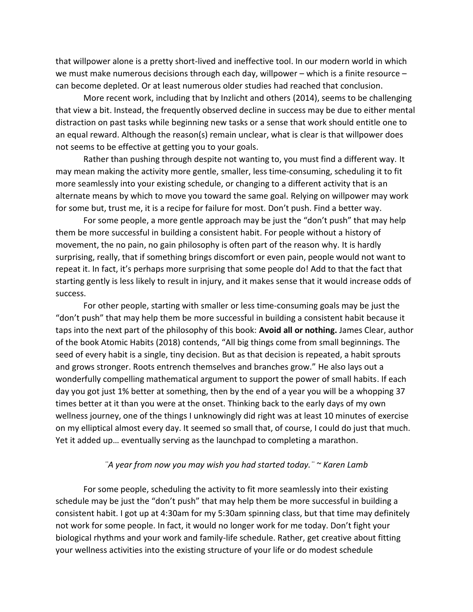that willpower alone is a pretty short-lived and ineffective tool. In our modern world in which we must make numerous decisions through each day, willpower – which is a finite resource – can become depleted. Or at least numerous older studies had reached that conclusion.

More recent work, including that by Inzlicht and others (2014), seems to be challenging that view a bit. Instead, the frequently observed decline in success may be due to either mental distraction on past tasks while beginning new tasks or a sense that work should entitle one to an equal reward. Although the reason(s) remain unclear, what is clear is that willpower does not seems to be effective at getting you to your goals.

Rather than pushing through despite not wanting to, you must find a different way. It may mean making the activity more gentle, smaller, less time-consuming, scheduling it to fit more seamlessly into your existing schedule, or changing to a different activity that is an alternate means by which to move you toward the same goal. Relying on willpower may work for some but, trust me, it is a recipe for failure for most. Don't push. Find a better way.

For some people, a more gentle approach may be just the "don't push" that may help them be more successful in building a consistent habit. For people without a history of movement, the no pain, no gain philosophy is often part of the reason why. It is hardly surprising, really, that if something brings discomfort or even pain, people would not want to repeat it. In fact, it's perhaps more surprising that some people do! Add to that the fact that starting gently is less likely to result in injury, and it makes sense that it would increase odds of success.

For other people, starting with smaller or less time-consuming goals may be just the "don't push" that may help them be more successful in building a consistent habit because it taps into the next part of the philosophy of this book: **Avoid all or nothing.** James Clear, author of the book Atomic Habits (2018) contends, "All big things come from small beginnings. The seed of every habit is a single, tiny decision. But as that decision is repeated, a habit sprouts and grows stronger. Roots entrench themselves and branches grow." He also lays out a wonderfully compelling mathematical argument to support the power of small habits. If each day you got just 1% better at something, then by the end of a year you will be a whopping 37 times better at it than you were at the onset. Thinking back to the early days of my own wellness journey, one of the things I unknowingly did right was at least 10 minutes of exercise on my elliptical almost every day. It seemed so small that, of course, I could do just that much. Yet it added up… eventually serving as the launchpad to completing a marathon.

#### *¨A year from now you may wish you had started today.¨ ~ Karen Lamb*

For some people, scheduling the activity to fit more seamlessly into their existing schedule may be just the "don't push" that may help them be more successful in building a consistent habit. I got up at 4:30am for my 5:30am spinning class, but that time may definitely not work for some people. In fact, it would no longer work for me today. Don't fight your biological rhythms and your work and family-life schedule. Rather, get creative about fitting your wellness activities into the existing structure of your life or do modest schedule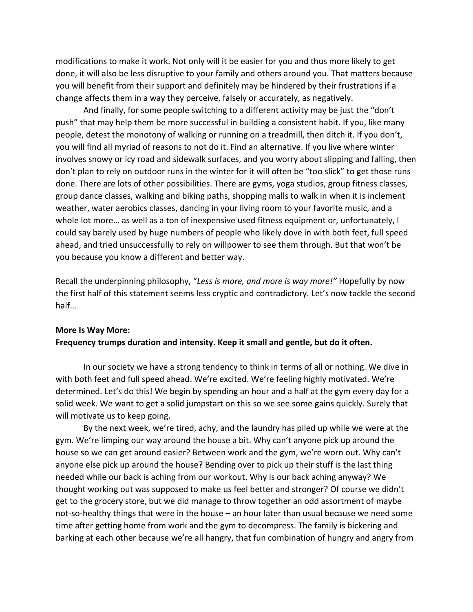modifications to make it work. Not only will it be easier for you and thus more likely to get done, it will also be less disruptive to your family and others around you. That matters because you will benefit from their support and definitely may be hindered by their frustrations if a change affects them in a way they perceive, falsely or accurately, as negatively.

And finally, for some people switching to a different activity may be just the "don't push" that may help them be more successful in building a consistent habit. If you, like many people, detest the monotony of walking or running on a treadmill, then ditch it. If you don't, you will find all myriad of reasons to not do it. Find an alternative. If you live where winter involves snowy or icy road and sidewalk surfaces, and you worry about slipping and falling, then don't plan to rely on outdoor runs in the winter for it will often be "too slick" to get those runs done. There are lots of other possibilities. There are gyms, yoga studios, group fitness classes, group dance classes, walking and biking paths, shopping malls to walk in when it is inclement weather, water aerobics classes, dancing in your living room to your favorite music, and a whole lot more… as well as a ton of inexpensive used fitness equipment or, unfortunately, I could say barely used by huge numbers of people who likely dove in with both feet, full speed ahead, and tried unsuccessfully to rely on willpower to see them through. But that won't be you because you know a different and better way.

Recall the underpinning philosophy, "*Less is more, and more is way more!"* Hopefully by now the first half of this statement seems less cryptic and contradictory. Let's now tackle the second half…

## **More Is Way More: Frequency trumps duration and intensity. Keep it small and gentle, but do it often.**

In our society we have a strong tendency to think in terms of all or nothing. We dive in with both feet and full speed ahead. We're excited. We're feeling highly motivated. We're determined. Let's do this! We begin by spending an hour and a half at the gym every day for a solid week. We want to get a solid jumpstart on this so we see some gains quickly. Surely that will motivate us to keep going.

By the next week, we're tired, achy, and the laundry has piled up while we were at the gym. We're limping our way around the house a bit. Why can't anyone pick up around the house so we can get around easier? Between work and the gym, we're worn out. Why can't anyone else pick up around the house? Bending over to pick up their stuff is the last thing needed while our back is aching from our workout. Why is our back aching anyway? We thought working out was supposed to make us feel better and stronger? Of course we didn't get to the grocery store, but we did manage to throw together an odd assortment of maybe not-so-healthy things that were in the house – an hour later than usual because we need some time after getting home from work and the gym to decompress. The family is bickering and barking at each other because we're all hangry, that fun combination of hungry and angry from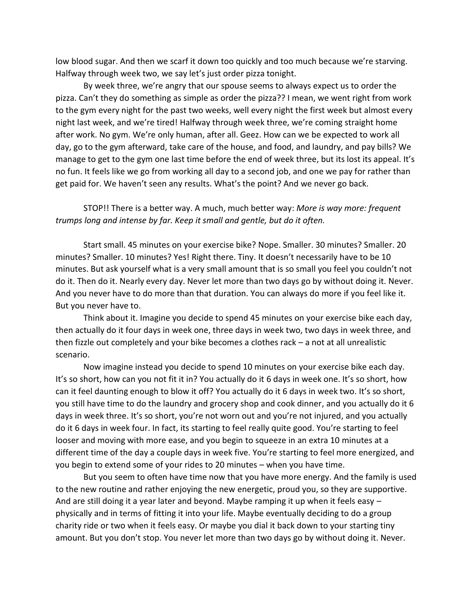low blood sugar. And then we scarf it down too quickly and too much because we're starving. Halfway through week two, we say let's just order pizza tonight.

By week three, we're angry that our spouse seems to always expect us to order the pizza. Can't they do something as simple as order the pizza?? I mean, we went right from work to the gym every night for the past two weeks, well every night the first week but almost every night last week, and we're tired! Halfway through week three, we're coming straight home after work. No gym. We're only human, after all. Geez. How can we be expected to work all day, go to the gym afterward, take care of the house, and food, and laundry, and pay bills? We manage to get to the gym one last time before the end of week three, but its lost its appeal. It's no fun. It feels like we go from working all day to a second job, and one we pay for rather than get paid for. We haven't seen any results. What's the point? And we never go back.

STOP!! There is a better way. A much, much better way: *More is way more: frequent trumps long and intense by far. Keep it small and gentle, but do it often.*

Start small. 45 minutes on your exercise bike? Nope. Smaller. 30 minutes? Smaller. 20 minutes? Smaller. 10 minutes? Yes! Right there. Tiny. It doesn't necessarily have to be 10 minutes. But ask yourself what is a very small amount that is so small you feel you couldn't not do it. Then do it. Nearly every day. Never let more than two days go by without doing it. Never. And you never have to do more than that duration. You can always do more if you feel like it. But you never have to.

Think about it. Imagine you decide to spend 45 minutes on your exercise bike each day, then actually do it four days in week one, three days in week two, two days in week three, and then fizzle out completely and your bike becomes a clothes rack – a not at all unrealistic scenario.

Now imagine instead you decide to spend 10 minutes on your exercise bike each day. It's so short, how can you not fit it in? You actually do it 6 days in week one. It's so short, how can it feel daunting enough to blow it off? You actually do it 6 days in week two. It's so short, you still have time to do the laundry and grocery shop and cook dinner, and you actually do it 6 days in week three. It's so short, you're not worn out and you're not injured, and you actually do it 6 days in week four. In fact, its starting to feel really quite good. You're starting to feel looser and moving with more ease, and you begin to squeeze in an extra 10 minutes at a different time of the day a couple days in week five. You're starting to feel more energized, and you begin to extend some of your rides to 20 minutes – when you have time.

But you seem to often have time now that you have more energy. And the family is used to the new routine and rather enjoying the new energetic, proud you, so they are supportive. And are still doing it a year later and beyond. Maybe ramping it up when it feels easy – physically and in terms of fitting it into your life. Maybe eventually deciding to do a group charity ride or two when it feels easy. Or maybe you dial it back down to your starting tiny amount. But you don't stop. You never let more than two days go by without doing it. Never.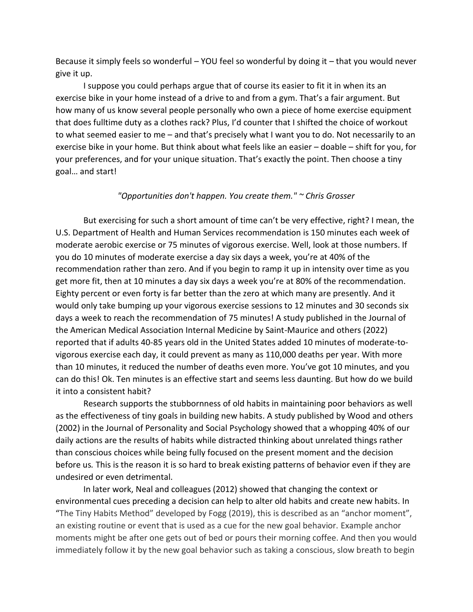Because it simply feels so wonderful – YOU feel so wonderful by doing it – that you would never give it up.

I suppose you could perhaps argue that of course its easier to fit it in when its an exercise bike in your home instead of a drive to and from a gym. That's a fair argument. But how many of us know several people personally who own a piece of home exercise equipment that does fulltime duty as a clothes rack? Plus, I'd counter that I shifted the choice of workout to what seemed easier to me – and that's precisely what I want you to do. Not necessarily to an exercise bike in your home. But think about what feels like an easier – doable – shift for you, for your preferences, and for your unique situation. That's exactly the point. Then choose a tiny goal… and start!

#### *"Opportunities don't happen. You create them." ~ Chris Grosser*

But exercising for such a short amount of time can't be very effective, right? I mean, the U.S. Department of Health and Human Services recommendation is 150 minutes each week of moderate aerobic exercise or 75 minutes of vigorous exercise. Well, look at those numbers. If you do 10 minutes of moderate exercise a day six days a week, you're at 40% of the recommendation rather than zero. And if you begin to ramp it up in intensity over time as you get more fit, then at 10 minutes a day six days a week you're at 80% of the recommendation. Eighty percent or even forty is far better than the zero at which many are presently. And it would only take bumping up your vigorous exercise sessions to 12 minutes and 30 seconds six days a week to reach the recommendation of 75 minutes! A study published in the Journal of the American Medical Association Internal Medicine by Saint-Maurice and others (2022) reported that if adults 40-85 years old in the United States added 10 minutes of moderate-tovigorous exercise each day, it could prevent as many as 110,000 deaths per year. With more than 10 minutes, it reduced the number of deaths even more. You've got 10 minutes, and you can do this! Ok. Ten minutes is an effective start and seems less daunting. But how do we build it into a consistent habit?

Research supports the stubbornness of old habits in maintaining poor behaviors as well as the effectiveness of tiny goals in building new habits. A study published by Wood and others (2002) in the Journal of Personality and Social Psychology showed that a whopping 40% of our daily actions are the results of habits while distracted thinking about unrelated things rather than conscious choices while being fully focused on the present moment and the decision before us*.* This is the reason it is so hard to break existing patterns of behavior even if they are undesired or even detrimental.

In later work, Neal and colleagues (2012) showed that changing the context or environmental cues preceding a decision can help to alter old habits and create new habits. In "The Tiny Habits Method" developed by Fogg (2019), this is described as an "anchor moment", an existing routine or event that is used as a cue for the new goal behavior. Example anchor moments might be after one gets out of bed or pours their morning coffee. And then you would immediately follow it by the new goal behavior such as taking a conscious, slow breath to begin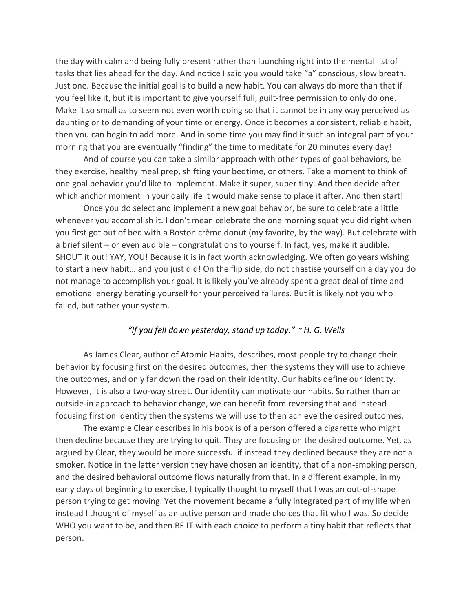the day with calm and being fully present rather than launching right into the mental list of tasks that lies ahead for the day. And notice I said you would take "a" conscious, slow breath. Just one. Because the initial goal is to build a new habit. You can always do more than that if you feel like it, but it is important to give yourself full, guilt-free permission to only do one. Make it so small as to seem not even worth doing so that it cannot be in any way perceived as daunting or to demanding of your time or energy. Once it becomes a consistent, reliable habit, then you can begin to add more. And in some time you may find it such an integral part of your morning that you are eventually "finding" the time to meditate for 20 minutes every day!

And of course you can take a similar approach with other types of goal behaviors, be they exercise, healthy meal prep, shifting your bedtime, or others. Take a moment to think of one goal behavior you'd like to implement. Make it super, super tiny. And then decide after which anchor moment in your daily life it would make sense to place it after. And then start!

Once you do select and implement a new goal behavior, be sure to celebrate a little whenever you accomplish it. I don't mean celebrate the one morning squat you did right when you first got out of bed with a Boston crème donut (my favorite, by the way). But celebrate with a brief silent – or even audible – congratulations to yourself. In fact, yes, make it audible. SHOUT it out! YAY, YOU! Because it is in fact worth acknowledging. We often go years wishing to start a new habit… and you just did! On the flip side, do not chastise yourself on a day you do not manage to accomplish your goal. It is likely you've already spent a great deal of time and emotional energy berating yourself for your perceived failures. But it is likely not you who failed, but rather your system.

#### *"If you fell down yesterday, stand up today." ~ H. G. Wells*

As James Clear, author of Atomic Habits, describes, most people try to change their behavior by focusing first on the desired outcomes, then the systems they will use to achieve the outcomes, and only far down the road on their identity. Our habits define our identity. However, it is also a two-way street. Our identity can motivate our habits. So rather than an outside-in approach to behavior change, we can benefit from reversing that and instead focusing first on identity then the systems we will use to then achieve the desired outcomes.

The example Clear describes in his book is of a person offered a cigarette who might then decline because they are trying to quit. They are focusing on the desired outcome. Yet, as argued by Clear, they would be more successful if instead they declined because they are not a smoker. Notice in the latter version they have chosen an identity, that of a non-smoking person, and the desired behavioral outcome flows naturally from that. In a different example, in my early days of beginning to exercise, I typically thought to myself that I was an out-of-shape person trying to get moving. Yet the movement became a fully integrated part of my life when instead I thought of myself as an active person and made choices that fit who I was. So decide WHO you want to be, and then BE IT with each choice to perform a tiny habit that reflects that person.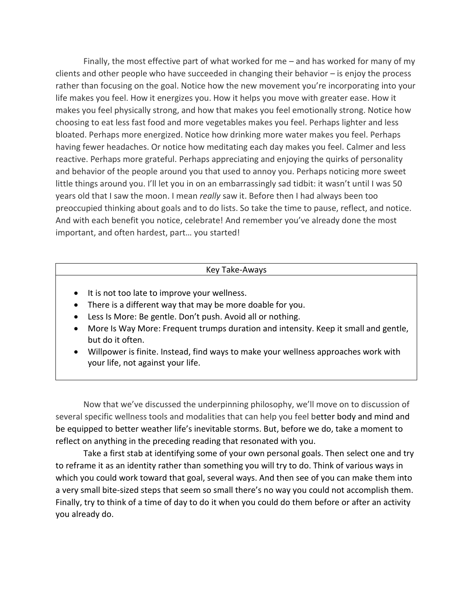Finally, the most effective part of what worked for me – and has worked for many of my clients and other people who have succeeded in changing their behavior – is enjoy the process rather than focusing on the goal. Notice how the new movement you're incorporating into your life makes you feel. How it energizes you. How it helps you move with greater ease. How it makes you feel physically strong, and how that makes you feel emotionally strong. Notice how choosing to eat less fast food and more vegetables makes you feel. Perhaps lighter and less bloated. Perhaps more energized. Notice how drinking more water makes you feel. Perhaps having fewer headaches. Or notice how meditating each day makes you feel. Calmer and less reactive. Perhaps more grateful. Perhaps appreciating and enjoying the quirks of personality and behavior of the people around you that used to annoy you. Perhaps noticing more sweet little things around you. I'll let you in on an embarrassingly sad tidbit: it wasn't until I was 50 years old that I saw the moon. I mean *really* saw it. Before then I had always been too preoccupied thinking about goals and to do lists. So take the time to pause, reflect, and notice. And with each benefit you notice, celebrate! And remember you've already done the most important, and often hardest, part… you started!

#### Key Take-Aways

- It is not too late to improve your wellness.
- There is a different way that may be more doable for you.
- Less Is More: Be gentle. Don't push. Avoid all or nothing.
- More Is Way More: Frequent trumps duration and intensity. Keep it small and gentle, but do it often.
- Willpower is finite. Instead, find ways to make your wellness approaches work with your life, not against your life.

Now that we've discussed the underpinning philosophy, we'll move on to discussion of several specific wellness tools and modalities that can help you feel better body and mind and be equipped to better weather life's inevitable storms. But, before we do, take a moment to reflect on anything in the preceding reading that resonated with you.

Take a first stab at identifying some of your own personal goals. Then select one and try to reframe it as an identity rather than something you will try to do. Think of various ways in which you could work toward that goal, several ways. And then see of you can make them into a very small bite-sized steps that seem so small there's no way you could not accomplish them. Finally, try to think of a time of day to do it when you could do them before or after an activity you already do.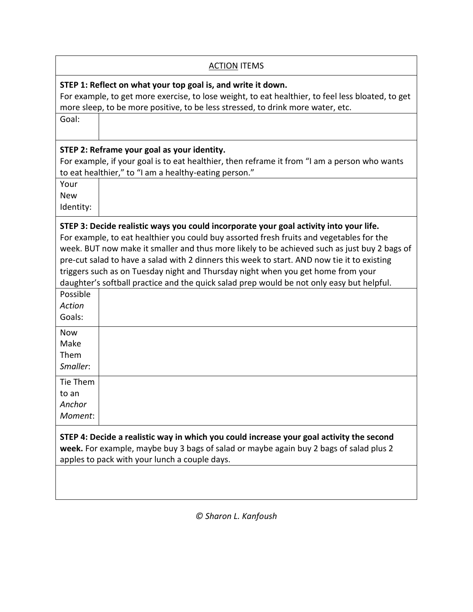| <b>ACTION ITEMS</b>                                                                                                                                                                                                                                                                                                                                                                                                                                                                                                                                                            |  |  |
|--------------------------------------------------------------------------------------------------------------------------------------------------------------------------------------------------------------------------------------------------------------------------------------------------------------------------------------------------------------------------------------------------------------------------------------------------------------------------------------------------------------------------------------------------------------------------------|--|--|
| STEP 1: Reflect on what your top goal is, and write it down.<br>For example, to get more exercise, to lose weight, to eat healthier, to feel less bloated, to get<br>more sleep, to be more positive, to be less stressed, to drink more water, etc.                                                                                                                                                                                                                                                                                                                           |  |  |
| Goal:                                                                                                                                                                                                                                                                                                                                                                                                                                                                                                                                                                          |  |  |
| STEP 2: Reframe your goal as your identity.<br>For example, if your goal is to eat healthier, then reframe it from "I am a person who wants<br>to eat healthier," to "I am a healthy-eating person."                                                                                                                                                                                                                                                                                                                                                                           |  |  |
| Your<br><b>New</b><br>Identity:                                                                                                                                                                                                                                                                                                                                                                                                                                                                                                                                                |  |  |
| STEP 3: Decide realistic ways you could incorporate your goal activity into your life.<br>For example, to eat healthier you could buy assorted fresh fruits and vegetables for the<br>week. BUT now make it smaller and thus more likely to be achieved such as just buy 2 bags of<br>pre-cut salad to have a salad with 2 dinners this week to start. AND now tie it to existing<br>triggers such as on Tuesday night and Thursday night when you get home from your<br>daughter's softball practice and the quick salad prep would be not only easy but helpful.<br>Possible |  |  |
| <b>Action</b><br>Goals:                                                                                                                                                                                                                                                                                                                                                                                                                                                                                                                                                        |  |  |
| <b>Now</b><br>Make<br>Them<br>Smaller:                                                                                                                                                                                                                                                                                                                                                                                                                                                                                                                                         |  |  |
| Tie Them<br>to an<br>Anchor<br>Moment:                                                                                                                                                                                                                                                                                                                                                                                                                                                                                                                                         |  |  |
| STEP 4: Decide a realistic way in which you could increase your goal activity the second<br>week. For example, maybe buy 3 bags of salad or maybe again buy 2 bags of salad plus 2<br>apples to pack with your lunch a couple days.                                                                                                                                                                                                                                                                                                                                            |  |  |
|                                                                                                                                                                                                                                                                                                                                                                                                                                                                                                                                                                                |  |  |

*© Sharon L. Kanfoush*